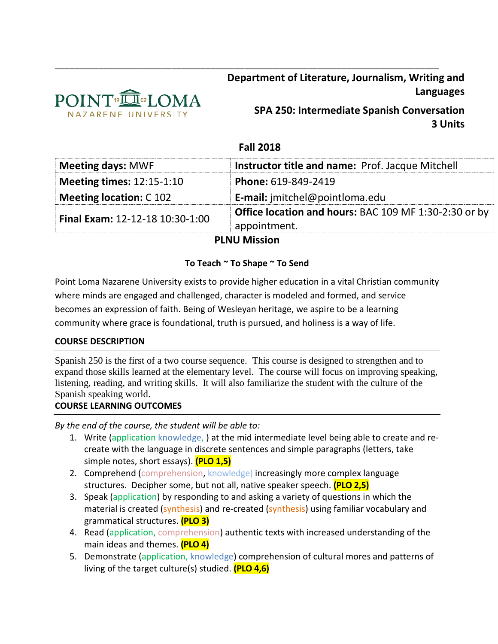

**Department of Literature, Journalism, Writing and Languages**

> **SPA 250: Intermediate Spanish Conversation 3 Units**

# **Fall 2018**

\_\_\_\_\_\_\_\_\_\_\_\_\_\_\_\_\_\_\_\_\_\_\_\_\_\_\_\_\_\_\_\_\_\_\_\_\_\_\_\_\_\_\_\_\_\_\_\_\_\_\_\_\_\_\_\_\_\_\_\_\_\_\_\_\_\_\_\_\_\_\_\_\_\_\_\_\_\_\_

| <b>Meeting days: MWF</b>               | <b>Instructor title and name: Prof. Jacque Mitchell</b>                      |
|----------------------------------------|------------------------------------------------------------------------------|
| <b>Meeting times: 12:15-1:10</b>       | Phone: 619-849-2419                                                          |
| <b>Meeting location: C102</b>          | <b>E-mail:</b> jmitchel@pointloma.edu                                        |
| <b>Final Exam: 12-12-18 10:30-1:00</b> | <b>Office location and hours: BAC 109 MF 1:30-2:30 or by</b><br>appointment. |

## **PLNU Mission**

## **To Teach ~ To Shape ~ To Send**

Point Loma Nazarene University exists to provide higher education in a vital Christian community where minds are engaged and challenged, character is modeled and formed, and service becomes an expression of faith. Being of Wesleyan heritage, we aspire to be a learning community where grace is foundational, truth is pursued, and holiness is a way of life.

## **COURSE DESCRIPTION**

Spanish 250 is the first of a two course sequence. This course is designed to strengthen and to expand those skills learned at the elementary level. The course will focus on improving speaking, listening, reading, and writing skills. It will also familiarize the student with the culture of the Spanish speaking world.

## **COURSE LEARNING OUTCOMES**

*By the end of the course, the student will be able to:*

- 1. Write (application knowledge, ) at the mid intermediate level being able to create and recreate with the language in discrete sentences and simple paragraphs (letters, take simple notes, short essays). **(PLO 1,5)**
- 2. Comprehend (comprehension, knowledge) increasingly more complex language structures. Decipher some, but not all, native speaker speech. **(PLO 2,5)**
- 3. Speak (application) by responding to and asking a variety of questions in which the material is created (synthesis) and re-created (synthesis) using familiar vocabulary and grammatical structures. **(PLO 3)**
- 4. Read (application, comprehension) authentic texts with increased understanding of the main ideas and themes. **(PLO 4)**
- 5. Demonstrate (application, knowledge) comprehension of cultural mores and patterns of living of the target culture(s) studied. **(PLO 4,6)**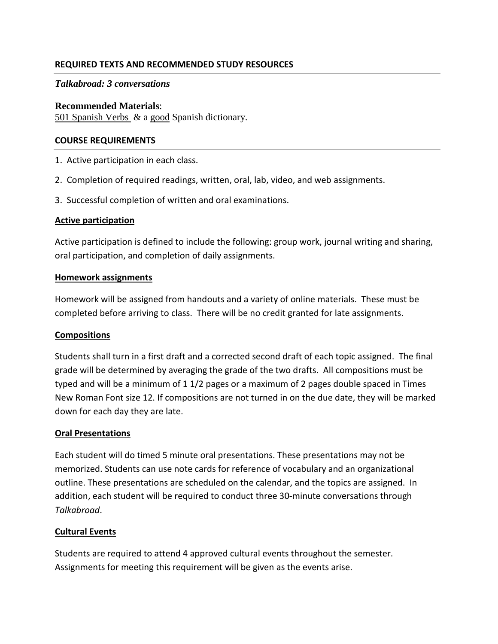## **REQUIRED TEXTS AND RECOMMENDED STUDY RESOURCES**

## *Talkabroad: 3 conversations*

#### **Recommended Materials**:

501 Spanish Verbs & a good Spanish dictionary.

#### **COURSE REQUIREMENTS**

- 1. Active participation in each class.
- 2. Completion of required readings, written, oral, lab, video, and web assignments.
- 3. Successful completion of written and oral examinations.

#### **Active participation**

Active participation is defined to include the following: group work, journal writing and sharing, oral participation, and completion of daily assignments.

#### **Homework assignments**

Homework will be assigned from handouts and a variety of online materials. These must be completed before arriving to class. There will be no credit granted for late assignments.

## **Compositions**

Students shall turn in a first draft and a corrected second draft of each topic assigned. The final grade will be determined by averaging the grade of the two drafts. All compositions must be typed and will be a minimum of 1 1/2 pages or a maximum of 2 pages double spaced in Times New Roman Font size 12. If compositions are not turned in on the due date, they will be marked down for each day they are late.

## **Oral Presentations**

Each student will do timed 5 minute oral presentations. These presentations may not be memorized. Students can use note cards for reference of vocabulary and an organizational outline. These presentations are scheduled on the calendar, and the topics are assigned. In addition, each student will be required to conduct three 30-minute conversations through *Talkabroad*.

## **Cultural Events**

Students are required to attend 4 approved cultural events throughout the semester. Assignments for meeting this requirement will be given as the events arise.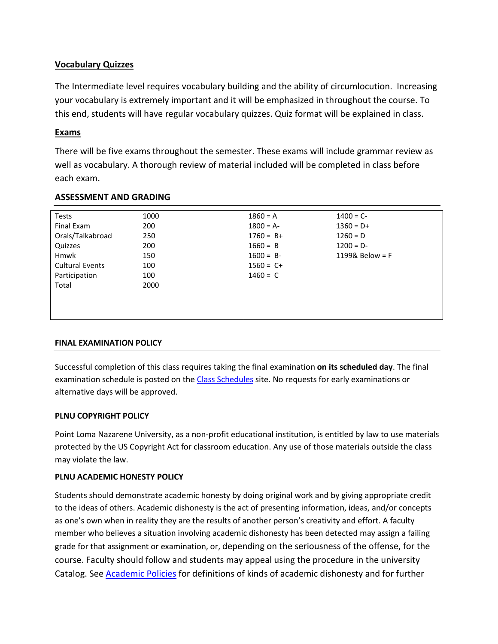## **Vocabulary Quizzes**

The Intermediate level requires vocabulary building and the ability of circumlocution. Increasing your vocabulary is extremely important and it will be emphasized in throughout the course. To this end, students will have regular vocabulary quizzes. Quiz format will be explained in class.

## **Exams**

There will be five exams throughout the semester. These exams will include grammar review as well as vocabulary. A thorough review of material included will be completed in class before each exam.

| <b>Tests</b>           | 1000 | $1860 = A$   | $1400 = C -$      |
|------------------------|------|--------------|-------------------|
| Final Exam             | 200  | $1800 = A$   | $1360 = D+$       |
| Orals/Talkabroad       | 250  | $1760 = B+$  | $1260 = D$        |
| Quizzes                | 200  | $1660 = B$   | $1200 = D -$      |
| <b>Hmwk</b>            | 150  | $1600 = B$   | 1199& Below = $F$ |
| <b>Cultural Events</b> | 100  | $1560 = C +$ |                   |
| Participation          | 100  | $1460 = C$   |                   |
| Total                  | 2000 |              |                   |
|                        |      |              |                   |
|                        |      |              |                   |
|                        |      |              |                   |

## **ASSESSMENT AND GRADING**

#### **FINAL EXAMINATION POLICY**

Successful completion of this class requires taking the final examination **on its scheduled day**. The final examination schedule is posted on the [Class Schedules](http://www.pointloma.edu/experience/academics/class-schedules) site. No requests for early examinations or alternative days will be approved.

## **PLNU COPYRIGHT POLICY**

Point Loma Nazarene University, as a non-profit educational institution, is entitled by law to use materials protected by the US Copyright Act for classroom education. Any use of those materials outside the class may violate the law.

## **PLNU ACADEMIC HONESTY POLICY**

Students should demonstrate academic honesty by doing original work and by giving appropriate credit to the ideas of others. Academic dishonesty is the act of presenting information, ideas, and/or concepts as one's own when in reality they are the results of another person's creativity and effort. A faculty member who believes a situation involving academic dishonesty has been detected may assign a failing grade for that assignment or examination, or, depending on the seriousness of the offense, for the course. Faculty should follow and students may appeal using the procedure in the university Catalog. See [Academic Policies](http://catalog.pointloma.edu/content.php?catoid=18&navoid=1278) for definitions of kinds of academic dishonesty and for further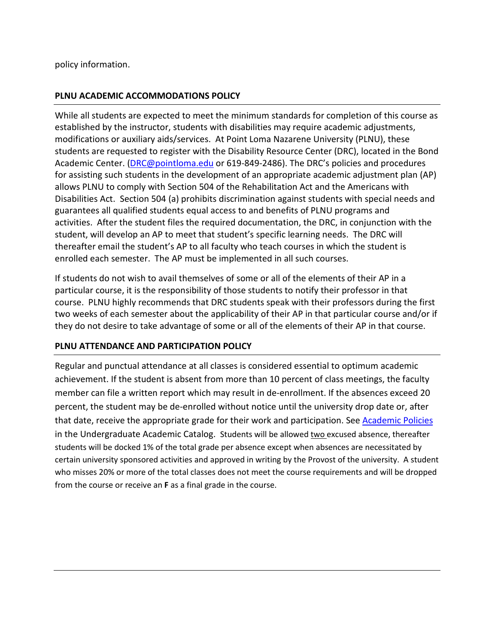policy information.

## **PLNU ACADEMIC ACCOMMODATIONS POLICY**

While all students are expected to meet the minimum standards for completion of this course as established by the instructor, students with disabilities may require academic adjustments, modifications or auxiliary aids/services. At Point Loma Nazarene University (PLNU), these students are requested to register with the Disability Resource Center (DRC), located in the Bond Academic Center. [\(DRC@pointloma.edu](mailto:DRC@pointloma.edu) or 619-849-2486). The DRC's policies and procedures for assisting such students in the development of an appropriate academic adjustment plan (AP) allows PLNU to comply with Section 504 of the Rehabilitation Act and the Americans with Disabilities Act. Section 504 (a) prohibits discrimination against students with special needs and guarantees all qualified students equal access to and benefits of PLNU programs and activities. After the student files the required documentation, the DRC, in conjunction with the student, will develop an AP to meet that student's specific learning needs. The DRC will thereafter email the student's AP to all faculty who teach courses in which the student is enrolled each semester. The AP must be implemented in all such courses.

If students do not wish to avail themselves of some or all of the elements of their AP in a particular course, it is the responsibility of those students to notify their professor in that course. PLNU highly recommends that DRC students speak with their professors during the first two weeks of each semester about the applicability of their AP in that particular course and/or if they do not desire to take advantage of some or all of the elements of their AP in that course.

## **PLNU ATTENDANCE AND PARTICIPATION POLICY**

Regular and punctual attendance at all classes is considered essential to optimum academic achievement. If the student is absent from more than 10 percent of class meetings, the faculty member can file a written report which may result in de-enrollment. If the absences exceed 20 percent, the student may be de-enrolled without notice until the university drop date or, after that date, receive the appropriate grade for their work and participation. Se[e Academic Policies](http://catalog.pointloma.edu/content.php?catoid=18&navoid=1278) in the Undergraduate Academic Catalog. Students will be allowed two excused absence, thereafter students will be docked 1% of the total grade per absence except when absences are necessitated by certain university sponsored activities and approved in writing by the Provost of the university. A student who misses 20% or more of the total classes does not meet the course requirements and will be dropped from the course or receive an **F** as a final grade in the course.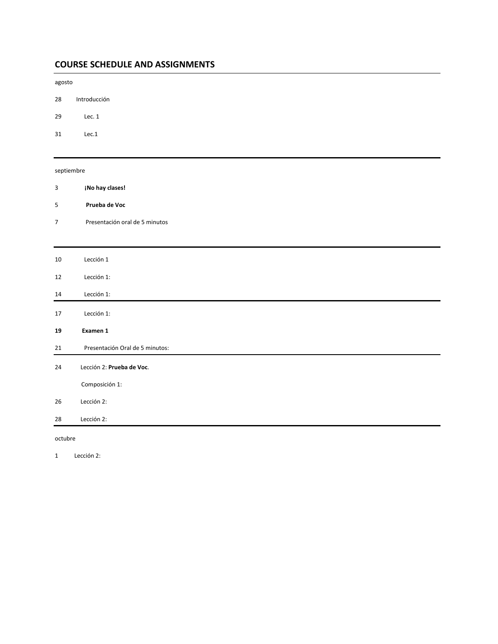## **COURSE SCHEDULE AND ASSIGNMENTS**

agosto

- 28 Introducción
- 29 Lec. 1
- 31 Lec.1

#### septiembre

| 3              | ¡No hay clases!                 |
|----------------|---------------------------------|
| 5              | Prueba de Voc                   |
| $\overline{7}$ | Presentación oral de 5 minutos  |
|                |                                 |
| 10             | Lección 1                       |
| 12             | Lección 1:                      |
| 14             | Lección 1:                      |
| 17             | Lección 1:                      |
| 19             | Examen 1                        |
| 21             | Presentación Oral de 5 minutos: |
| 24             | Lección 2: Prueba de Voc.       |
|                | Composición 1:                  |
| 26             | Lección 2:                      |
| 28             | Lección 2:                      |

octubre

1 Lección 2: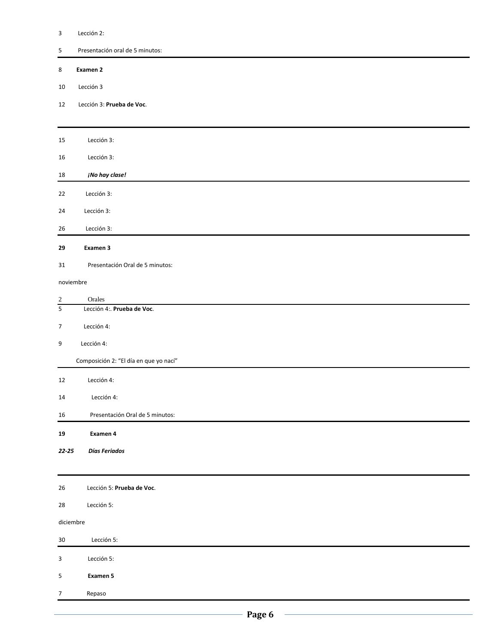#### 3 Lección 2:

5 Presentación oral de 5 minutos:

#### 8 **Examen 2**

- 10 Lección 3
- 12 Lección 3: **Prueba de Voc**.

| 15             | Lección 3:                             |  |  |  |  |
|----------------|----------------------------------------|--|--|--|--|
| 16             | Lección 3:                             |  |  |  |  |
| 18             | ¡No hay clase!                         |  |  |  |  |
| 22             | Lección 3:                             |  |  |  |  |
| 24             | Lección 3:                             |  |  |  |  |
| 26             | Lección 3:                             |  |  |  |  |
| 29             | Examen 3                               |  |  |  |  |
| 31             | Presentación Oral de 5 minutos:        |  |  |  |  |
|                | noviembre                              |  |  |  |  |
| $\overline{c}$ | Orales                                 |  |  |  |  |
| $\overline{5}$ | Lección 4:. Prueba de Voc.             |  |  |  |  |
| $\overline{7}$ | Lección 4:                             |  |  |  |  |
| 9              | Lección 4:                             |  |  |  |  |
|                | Composición 2: "El día en que yo nací" |  |  |  |  |
| 12             | Lección 4:                             |  |  |  |  |
| 14             | Lección 4:                             |  |  |  |  |
| 16             | Presentación Oral de 5 minutos:        |  |  |  |  |
| 19             | Examen 4                               |  |  |  |  |
| $22 - 25$      | Días Feriados                          |  |  |  |  |
|                |                                        |  |  |  |  |
| 26             | Lección 5: Prueba de Voc.              |  |  |  |  |
| 28             | Lección 5:                             |  |  |  |  |
| diciembre      |                                        |  |  |  |  |
| $30\,$         | Lección 5:                             |  |  |  |  |
| $\mathbf{3}$   | Lección 5:                             |  |  |  |  |
| $\sf 5$        | Examen 5                               |  |  |  |  |
| $\overline{7}$ | Repaso                                 |  |  |  |  |
|                |                                        |  |  |  |  |